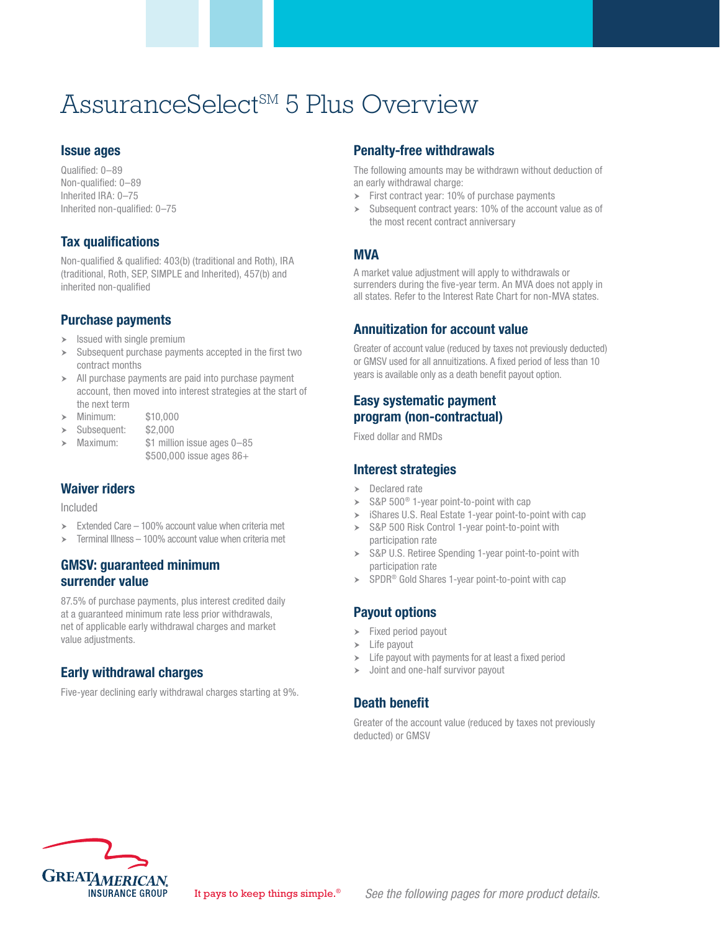# AssuranceSelect<sup>SM</sup> 5 Plus Overview

#### Issue ages

Qualified: 0–89 Non-qualified: 0–89 Inherited IRA: 0–75 Inherited non-qualified: 0–75

## Tax qualifications

Non-qualified & qualified: 403(b) (traditional and Roth), IRA (traditional, Roth, SEP, SIMPLE and Inherited), 457(b) and inherited non-qualified

#### Purchase payments

- $\blacktriangleright$  Issued with single premium
- Subsequent purchase payments accepted in the first two contract months
- All purchase payments are paid into purchase payment account, then moved into interest strategies at the start of the next term
- h Minimum: \$10,000
- Subsequent: \$2,000
- Maximum: \$1 million issue ages 0–85 \$500,000 issue ages 86+

#### Waiver riders

Included

- $\geq$  Extended Care 100% account value when criteria met
- $\geq$  Terminal Illness 100% account value when criteria met

#### GMSV: guaranteed minimum surrender value

87.5% of purchase payments, plus interest credited daily at a guaranteed minimum rate less prior withdrawals, net of applicable early withdrawal charges and market value adjustments.

## Early withdrawal charges

Five-year declining early withdrawal charges starting at 9%.

#### Penalty-free withdrawals

The following amounts may be withdrawn without deduction of an early withdrawal charge:

- $\triangleright$  First contract year: 10% of purchase payments
- $\blacktriangleright$  Subsequent contract years: 10% of the account value as of the most recent contract anniversary

## MVA

A market value adjustment will apply to withdrawals or surrenders during the five-year term. An MVA does not apply in all states. Refer to the Interest Rate Chart for non-MVA states.

## Annuitization for account value

Greater of account value (reduced by taxes not previously deducted) or GMSV used for all annuitizations. A fixed period of less than 10 years is available only as a death benefit payout option.

## Easy systematic payment program (non-contractual)

Fixed dollar and RMDs

## Interest strategies

- $\triangleright$  Declared rate
- $\triangleright$  S&P 500<sup>®</sup> 1-year point-to-point with cap
- $\geq$  iShares U.S. Real Estate 1-year point-to-point with cap
- > S&P 500 Risk Control 1-year point-to-point with participation rate
- > S&P U.S. Retiree Spending 1-year point-to-point with participation rate
- $\triangleright$  SPDR<sup>®</sup> Gold Shares 1-year point-to-point with cap

## Payout options

- $\blacktriangleright$  Fixed period payout
- $\blacktriangleright$  Life payout
- $\blacktriangleright$  Life payout with payments for at least a fixed period
- $\rightarrow$  Joint and one-half survivor payout

#### Death benefit

Greater of the account value (reduced by taxes not previously deducted) or GMSV

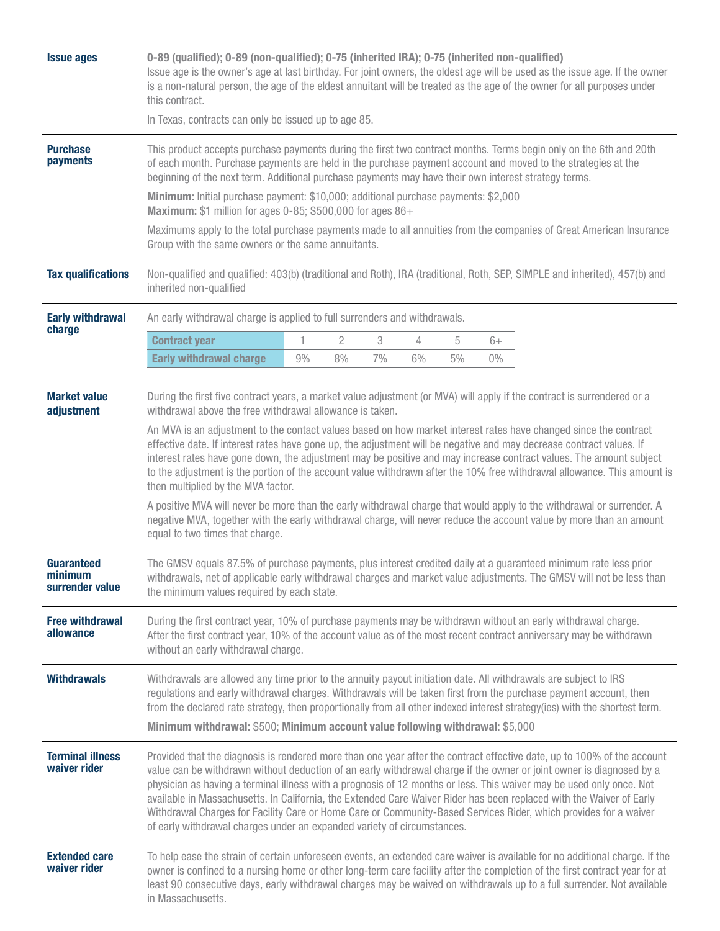| <b>Issue ages</b>                        | 0-89 (qualified); 0-89 (non-qualified); 0-75 (inherited IRA); 0-75 (inherited non-qualified)<br>Issue age is the owner's age at last birthday. For joint owners, the oldest age will be used as the issue age. If the owner<br>is a non-natural person, the age of the eldest annuitant will be treated as the age of the owner for all purposes under<br>this contract.                                                                                                                                                                                                                                                                                                                                                                                                                                           |    |    |    |                |    |       |  |  |  |
|------------------------------------------|--------------------------------------------------------------------------------------------------------------------------------------------------------------------------------------------------------------------------------------------------------------------------------------------------------------------------------------------------------------------------------------------------------------------------------------------------------------------------------------------------------------------------------------------------------------------------------------------------------------------------------------------------------------------------------------------------------------------------------------------------------------------------------------------------------------------|----|----|----|----------------|----|-------|--|--|--|
|                                          | In Texas, contracts can only be issued up to age 85.                                                                                                                                                                                                                                                                                                                                                                                                                                                                                                                                                                                                                                                                                                                                                               |    |    |    |                |    |       |  |  |  |
| <b>Purchase</b><br>payments              | This product accepts purchase payments during the first two contract months. Terms begin only on the 6th and 20th<br>of each month. Purchase payments are held in the purchase payment account and moved to the strategies at the<br>beginning of the next term. Additional purchase payments may have their own interest strategy terms.                                                                                                                                                                                                                                                                                                                                                                                                                                                                          |    |    |    |                |    |       |  |  |  |
|                                          | Minimum: Initial purchase payment: \$10,000; additional purchase payments: \$2,000<br>Maximum: \$1 million for ages 0-85; \$500,000 for ages 86+                                                                                                                                                                                                                                                                                                                                                                                                                                                                                                                                                                                                                                                                   |    |    |    |                |    |       |  |  |  |
|                                          | Maximums apply to the total purchase payments made to all annuities from the companies of Great American Insurance<br>Group with the same owners or the same annuitants.                                                                                                                                                                                                                                                                                                                                                                                                                                                                                                                                                                                                                                           |    |    |    |                |    |       |  |  |  |
| <b>Tax qualifications</b>                | Non-qualified and qualified: 403(b) (traditional and Roth), IRA (traditional, Roth, SEP, SIMPLE and inherited), 457(b) and<br>inherited non-qualified                                                                                                                                                                                                                                                                                                                                                                                                                                                                                                                                                                                                                                                              |    |    |    |                |    |       |  |  |  |
| <b>Early withdrawal</b>                  | An early withdrawal charge is applied to full surrenders and withdrawals.                                                                                                                                                                                                                                                                                                                                                                                                                                                                                                                                                                                                                                                                                                                                          |    |    |    |                |    |       |  |  |  |
| charge                                   | <b>Contract year</b>                                                                                                                                                                                                                                                                                                                                                                                                                                                                                                                                                                                                                                                                                                                                                                                               | 1  | 2  | 3  | $\overline{4}$ | 5  | $6+$  |  |  |  |
|                                          | <b>Early withdrawal charge</b>                                                                                                                                                                                                                                                                                                                                                                                                                                                                                                                                                                                                                                                                                                                                                                                     | 9% | 8% | 7% | 6%             | 5% | $0\%$ |  |  |  |
| <b>Market value</b><br>adjustment        | During the first five contract years, a market value adjustment (or MVA) will apply if the contract is surrendered or a                                                                                                                                                                                                                                                                                                                                                                                                                                                                                                                                                                                                                                                                                            |    |    |    |                |    |       |  |  |  |
|                                          | An MVA is an adjustment to the contact values based on how market interest rates have changed since the contract<br>effective date. If interest rates have gone up, the adjustment will be negative and may decrease contract values. If<br>interest rates have gone down, the adjustment may be positive and may increase contract values. The amount subject<br>to the adjustment is the portion of the account value withdrawn after the 10% free withdrawal allowance. This amount is<br>then multiplied by the MVA factor.<br>A positive MVA will never be more than the early withdrawal charge that would apply to the withdrawal or surrender. A<br>negative MVA, together with the early withdrawal charge, will never reduce the account value by more than an amount<br>equal to two times that charge. |    |    |    |                |    |       |  |  |  |
|                                          |                                                                                                                                                                                                                                                                                                                                                                                                                                                                                                                                                                                                                                                                                                                                                                                                                    |    |    |    |                |    |       |  |  |  |
| Guaranteed<br>minimum<br>surrender value | The GMSV equals 87.5% of purchase payments, plus interest credited daily at a guaranteed minimum rate less prior<br>withdrawals, net of applicable early withdrawal charges and market value adjustments. The GMSV will not be less than<br>the minimum values required by each state.                                                                                                                                                                                                                                                                                                                                                                                                                                                                                                                             |    |    |    |                |    |       |  |  |  |
| <b>Free withdrawal</b><br>allowance      | During the first contract year, 10% of purchase payments may be withdrawn without an early withdrawal charge.<br>After the first contract year, 10% of the account value as of the most recent contract anniversary may be withdrawn<br>without an early withdrawal charge.                                                                                                                                                                                                                                                                                                                                                                                                                                                                                                                                        |    |    |    |                |    |       |  |  |  |
| <b>Withdrawals</b>                       | Withdrawals are allowed any time prior to the annuity payout initiation date. All withdrawals are subject to IRS<br>regulations and early withdrawal charges. Withdrawals will be taken first from the purchase payment account, then<br>from the declared rate strategy, then proportionally from all other indexed interest strategy(ies) with the shortest term.<br>Minimum withdrawal: \$500; Minimum account value following withdrawal: \$5,000                                                                                                                                                                                                                                                                                                                                                              |    |    |    |                |    |       |  |  |  |
| <b>Terminal illness</b><br>waiver rider  | Provided that the diagnosis is rendered more than one year after the contract effective date, up to 100% of the account<br>value can be withdrawn without deduction of an early withdrawal charge if the owner or joint owner is diagnosed by a<br>physician as having a terminal illness with a prognosis of 12 months or less. This waiver may be used only once. Not<br>available in Massachusetts. In California, the Extended Care Waiver Rider has been replaced with the Waiver of Early<br>Withdrawal Charges for Facility Care or Home Care or Community-Based Services Rider, which provides for a waiver<br>of early withdrawal charges under an expanded variety of circumstances.                                                                                                                     |    |    |    |                |    |       |  |  |  |
| <b>Extended care</b><br>waiver rider     | To help ease the strain of certain unforeseen events, an extended care waiver is available for no additional charge. If the<br>owner is confined to a nursing home or other long-term care facility after the completion of the first contract year for at<br>least 90 consecutive days, early withdrawal charges may be waived on withdrawals up to a full surrender. Not available<br>in Massachusetts.                                                                                                                                                                                                                                                                                                                                                                                                          |    |    |    |                |    |       |  |  |  |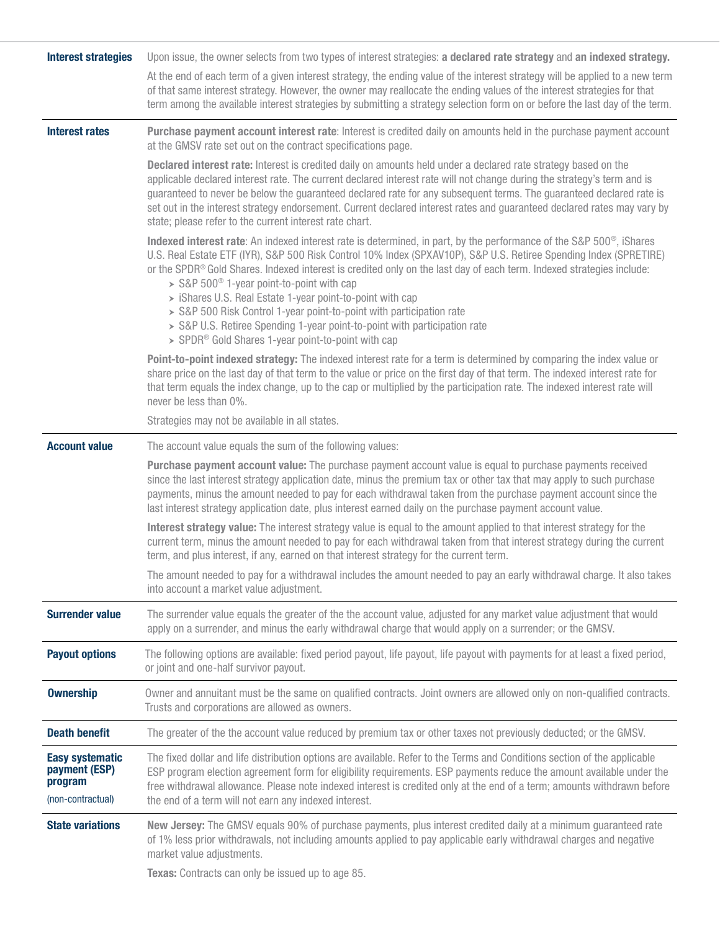| <b>Interest strategies</b>                                              | Upon issue, the owner selects from two types of interest strategies: a declared rate strategy and an indexed strategy.                                                                                                                                                                                                                                                                                                                                                                                                                                                                                                                                                                                                        |  |  |  |  |  |
|-------------------------------------------------------------------------|-------------------------------------------------------------------------------------------------------------------------------------------------------------------------------------------------------------------------------------------------------------------------------------------------------------------------------------------------------------------------------------------------------------------------------------------------------------------------------------------------------------------------------------------------------------------------------------------------------------------------------------------------------------------------------------------------------------------------------|--|--|--|--|--|
|                                                                         | At the end of each term of a given interest strategy, the ending value of the interest strategy will be applied to a new term<br>of that same interest strategy. However, the owner may reallocate the ending values of the interest strategies for that<br>term among the available interest strategies by submitting a strategy selection form on or before the last day of the term.                                                                                                                                                                                                                                                                                                                                       |  |  |  |  |  |
| <b>Interest rates</b>                                                   | Purchase payment account interest rate: Interest is credited daily on amounts held in the purchase payment account<br>at the GMSV rate set out on the contract specifications page.                                                                                                                                                                                                                                                                                                                                                                                                                                                                                                                                           |  |  |  |  |  |
|                                                                         | Declared interest rate: Interest is credited daily on amounts held under a declared rate strategy based on the<br>applicable declared interest rate. The current declared interest rate will not change during the strategy's term and is<br>guaranteed to never be below the guaranteed declared rate for any subsequent terms. The guaranteed declared rate is<br>set out in the interest strategy endorsement. Current declared interest rates and guaranteed declared rates may vary by<br>state; please refer to the current interest rate chart.                                                                                                                                                                        |  |  |  |  |  |
|                                                                         | Indexed interest rate: An indexed interest rate is determined, in part, by the performance of the S&P 500 <sup>®</sup> , iShares<br>U.S. Real Estate ETF (IYR), S&P 500 Risk Control 10% Index (SPXAV10P), S&P U.S. Retiree Spending Index (SPRETIRE)<br>or the SPDR® Gold Shares. Indexed interest is credited only on the last day of each term. Indexed strategies include:<br>$>$ S&P 500 <sup>®</sup> 1-year point-to-point with cap<br>> iShares U.S. Real Estate 1-year point-to-point with cap<br>> S&P 500 Risk Control 1-year point-to-point with participation rate<br>> S&P U.S. Retiree Spending 1-year point-to-point with participation rate<br>> SPDR <sup>®</sup> Gold Shares 1-year point-to-point with cap |  |  |  |  |  |
|                                                                         | Point-to-point indexed strategy: The indexed interest rate for a term is determined by comparing the index value or<br>share price on the last day of that term to the value or price on the first day of that term. The indexed interest rate for<br>that term equals the index change, up to the cap or multiplied by the participation rate. The indexed interest rate will<br>never be less than 0%.                                                                                                                                                                                                                                                                                                                      |  |  |  |  |  |
|                                                                         | Strategies may not be available in all states.                                                                                                                                                                                                                                                                                                                                                                                                                                                                                                                                                                                                                                                                                |  |  |  |  |  |
| <b>Account value</b>                                                    | The account value equals the sum of the following values:                                                                                                                                                                                                                                                                                                                                                                                                                                                                                                                                                                                                                                                                     |  |  |  |  |  |
|                                                                         | Purchase payment account value: The purchase payment account value is equal to purchase payments received<br>since the last interest strategy application date, minus the premium tax or other tax that may apply to such purchase<br>payments, minus the amount needed to pay for each withdrawal taken from the purchase payment account since the<br>last interest strategy application date, plus interest earned daily on the purchase payment account value.                                                                                                                                                                                                                                                            |  |  |  |  |  |
|                                                                         | Interest strategy value: The interest strategy value is equal to the amount applied to that interest strategy for the<br>current term, minus the amount needed to pay for each withdrawal taken from that interest strategy during the current<br>term, and plus interest, if any, earned on that interest strategy for the current term.                                                                                                                                                                                                                                                                                                                                                                                     |  |  |  |  |  |
|                                                                         | The amount needed to pay for a withdrawal includes the amount needed to pay an early withdrawal charge. It also takes<br>into account a market value adjustment.                                                                                                                                                                                                                                                                                                                                                                                                                                                                                                                                                              |  |  |  |  |  |
| <b>Surrender value</b>                                                  | The surrender value equals the greater of the the account value, adjusted for any market value adjustment that would                                                                                                                                                                                                                                                                                                                                                                                                                                                                                                                                                                                                          |  |  |  |  |  |
|                                                                         | apply on a surrender, and minus the early withdrawal charge that would apply on a surrender; or the GMSV.                                                                                                                                                                                                                                                                                                                                                                                                                                                                                                                                                                                                                     |  |  |  |  |  |
| <b>Payout options</b>                                                   | The following options are available: fixed period payout, life payout, life payout with payments for at least a fixed period,<br>or joint and one-half survivor payout.                                                                                                                                                                                                                                                                                                                                                                                                                                                                                                                                                       |  |  |  |  |  |
| <b>Ownership</b>                                                        | Owner and annuitant must be the same on qualified contracts. Joint owners are allowed only on non-qualified contracts.<br>Trusts and corporations are allowed as owners.                                                                                                                                                                                                                                                                                                                                                                                                                                                                                                                                                      |  |  |  |  |  |
| <b>Death benefit</b>                                                    | The greater of the the account value reduced by premium tax or other taxes not previously deducted; or the GMSV.                                                                                                                                                                                                                                                                                                                                                                                                                                                                                                                                                                                                              |  |  |  |  |  |
| <b>Easy systematic</b><br>payment (ESP)<br>program<br>(non-contractual) | The fixed dollar and life distribution options are available. Refer to the Terms and Conditions section of the applicable<br>ESP program election agreement form for eligibility requirements. ESP payments reduce the amount available under the<br>free withdrawal allowance. Please note indexed interest is credited only at the end of a term; amounts withdrawn before<br>the end of a term will not earn any indexed interest.                                                                                                                                                                                                                                                                                         |  |  |  |  |  |
| <b>State variations</b>                                                 | New Jersey: The GMSV equals 90% of purchase payments, plus interest credited daily at a minimum guaranteed rate<br>of 1% less prior withdrawals, not including amounts applied to pay applicable early withdrawal charges and negative<br>market value adjustments.<br>Texas: Contracts can only be issued up to age 85.                                                                                                                                                                                                                                                                                                                                                                                                      |  |  |  |  |  |